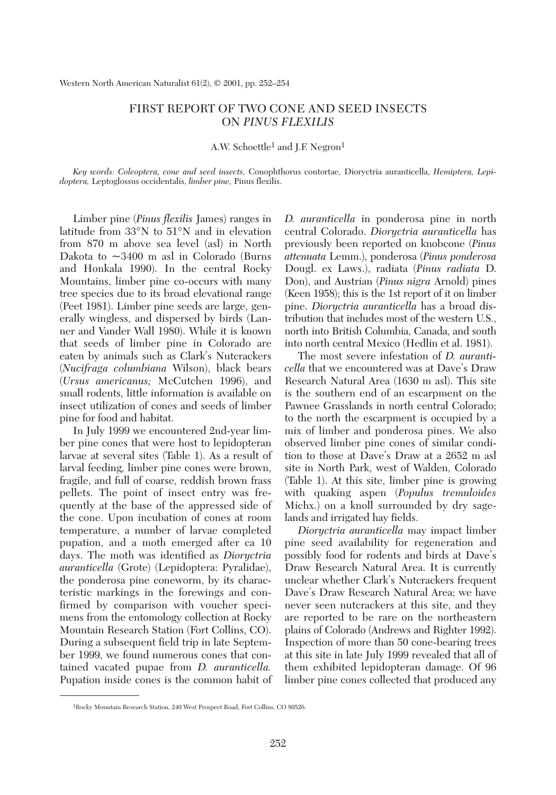## FIRST REPORT OF TWO CONE AND SEED INSECTS ON *PINUS FLEXILIS*

A.W. Schoettle<sup>1</sup> and J.F. Negron<sup>1</sup>

*Key words: Coleoptera, cone and seed insects,* Conophthorus contortae, Dioryctria auranticella, *Hemiptera, Lepidoptera,* Leptoglossus occidentalis, *limber pine,* Pinus flexilis.

Limber pine (*Pinus flexilis* James) ranges in latitude from 33°N to 51°N and in elevation from 870 m above sea level (asl) in North Dakota to  $\sim$ 3400 m asl in Colorado (Burns and Honkala 1990). In the central Rocky Mountains, limber pine co-occurs with many tree species due to its broad elevational range (Peet 1981). Limber pine seeds are large, generally wingless, and dispersed by birds (Lanner and Vander Wall 1980). While it is known that seeds of limber pine in Colorado are eaten by animals such as Clark's Nutcrackers (*Nucifraga columbiana* Wilson), black bears (*Ursus americanus;* McCutchen 1996), and small rodents, little information is available on insect utilization of cones and seeds of limber pine for food and habitat.

In July 1999 we encountered 2nd-year limber pine cones that were host to lepidopteran larvae at several sites (Table 1). As a result of larval feeding, limber pine cones were brown, fragile, and full of coarse, reddish brown frass pellets. The point of insect entry was frequently at the base of the appressed side of the cone. Upon incubation of cones at room temperature, a number of larvae completed pupation, and a moth emerged after ca 10 days. The moth was identified as *Dioryctria auranticella* (Grote) (Lepidoptera: Pyralidae), the ponderosa pine coneworm, by its characteristic markings in the forewings and confirmed by comparison with voucher specimens from the entomology collection at Rocky Mountain Research Station (Fort Collins, CO). During a subsequent field trip in late September 1999, we found numerous cones that contained vacated pupae from *D. auranticella.* Pupation inside cones is the common habit of *D. auranticella* in ponderosa pine in north central Colorado. *Dioryctria auranticella* has previously been reported on knobcone (*Pinus attenuata* Lemm.), ponderosa (*Pinus ponderosa* Dougl. ex Laws.), radiata (*Pinus radiata* D. Don), and Austrian (*Pinus nigra* Arnold) pines (Keen 1958); this is the 1st report of it on limber pine. *Dioryctria auranticella* has a broad distribution that includes most of the western U.S., north into British Columbia, Canada, and south into north central Mexico (Hedlin et al. 1981).

The most severe infestation of *D. auranticella* that we encountered was at Dave's Draw Research Natural Area (1630 m asl). This site is the southern end of an escarpment on the Pawnee Grasslands in north central Colorado; to the north the escarpment is occupied by a mix of limber and ponderosa pines. We also observed limber pine cones of similar condition to those at Dave's Draw at a 2652 m asl site in North Park, west of Walden, Colorado (Table 1). At this site, limber pine is growing with quaking aspen (*Populus tremuloides* Michx.) on a knoll surrounded by dry sagelands and irrigated hay fields.

*Dioryctria auranticella* may impact limber pine seed availability for regeneration and possibly food for rodents and birds at Dave's Draw Research Natural Area. It is currently unclear whether Clark's Nutcrackers frequent Dave's Draw Research Natural Area; we have never seen nutcrackers at this site, and they are reported to be rare on the northeastern plains of Colorado (Andrews and Righter 1992). Inspection of more than 50 cone-bearing trees at this site in late July 1999 revealed that all of them exhibited lepidopteran damage. Of 96 limber pine cones collected that produced any

<sup>1</sup>Rocky Mountain Research Station, 240 West Prospect Road, Fort Collins, CO 80526.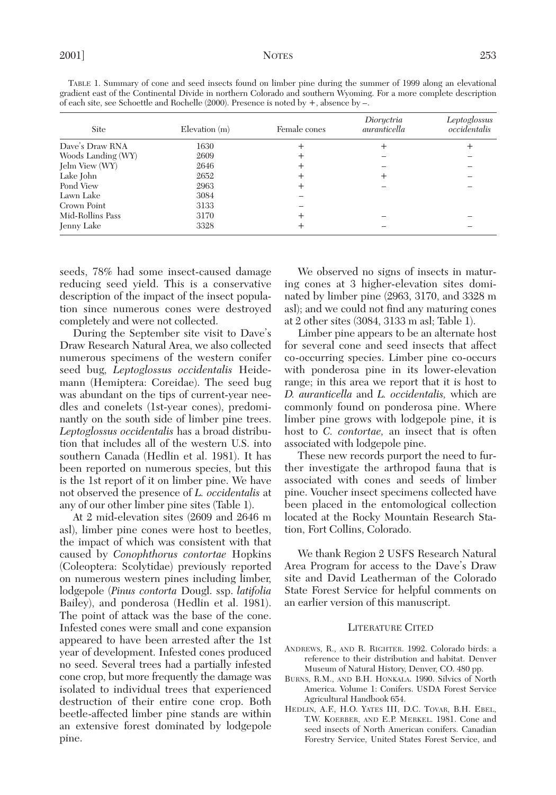| of each site, see Schoettle and Rochelle $(2000)$ . Presence is noted by $+$ , absence by $-$ . |                    |              |                            |                              |
|-------------------------------------------------------------------------------------------------|--------------------|--------------|----------------------------|------------------------------|
| Site                                                                                            | $E$ levation $(m)$ | Female cones | Dioryctria<br>auranticella | Leptoglossus<br>occidentalis |
| Dave's Draw RNA                                                                                 | 1630               |              |                            |                              |
| Woods Landing (WY)                                                                              | 2609               |              |                            |                              |
| Jelm View (WY)                                                                                  | 2646               |              |                            |                              |
| Lake John                                                                                       | 2652               |              |                            |                              |
| Pond View                                                                                       | 2963               |              |                            |                              |
| Lawn Lake                                                                                       | 3084               |              |                            |                              |
| Crown Point                                                                                     | 3133               |              |                            |                              |
| Mid-Rollins Pass                                                                                | 3170               |              |                            |                              |
| Jenny Lake                                                                                      | 3328               |              |                            |                              |

TABLE 1. Summary of cone and seed insects found on limber pine during the summer of 1999 along an elevational gradient east of the Continental Divide in northern Colorado and southern Wyoming. For a more complete description of each site, see Schoettle and Rochelle (2000). Presence is noted by +, absence by –.

seeds, 78% had some insect-caused damage reducing seed yield. This is a conservative description of the impact of the insect population since numerous cones were destroyed completely and were not collected.

During the September site visit to Dave's Draw Research Natural Area, we also collected numerous specimens of the western conifer seed bug, *Leptoglossus occidentalis* Heidemann (Hemiptera: Coreidae). The seed bug was abundant on the tips of current-year needles and conelets (1st-year cones), predominantly on the south side of limber pine trees. *Leptoglossus occidentalis* has a broad distribution that includes all of the western U.S. into southern Canada (Hedlin et al. 1981). It has been reported on numerous species, but this is the 1st report of it on limber pine. We have not observed the presence of *L. occidentalis* at any of our other limber pine sites (Table 1).

At 2 mid-elevation sites (2609 and 2646 m asl), limber pine cones were host to beetles, the impact of which was consistent with that caused by *Conophthorus contortae* Hopkins (Coleoptera: Scolytidae) previously reported on numerous western pines including limber, lodgepole (*Pinus contorta* Dougl. ssp. *latifolia* Bailey), and ponderosa (Hedlin et al. 1981). The point of attack was the base of the cone. Infested cones were small and cone expansion appeared to have been arrested after the 1st year of development. Infested cones produced no seed. Several trees had a partially infested cone crop, but more frequently the damage was isolated to individual trees that experienced destruction of their entire cone crop. Both beetle-affected limber pine stands are within an extensive forest dominated by lodgepole pine.

We observed no signs of insects in maturing cones at 3 higher-elevation sites dominated by limber pine (2963, 3170, and 3328 m asl); and we could not find any maturing cones at 2 other sites (3084, 3133 m asl; Table 1).

Limber pine appears to be an alternate host for several cone and seed insects that affect co-occurring species. Limber pine co-occurs with ponderosa pine in its lower-elevation range; in this area we report that it is host to *D. auranticella* and *L. occidentalis,* which are commonly found on ponderosa pine. Where limber pine grows with lodgepole pine, it is host to *C. contortae,* an insect that is often associated with lodgepole pine.

These new records purport the need to further investigate the arthropod fauna that is associated with cones and seeds of limber pine. Voucher insect specimens collected have been placed in the entomological collection located at the Rocky Mountain Research Station, Fort Collins, Colorado.

We thank Region 2 USFS Research Natural Area Program for access to the Dave's Draw site and David Leatherman of the Colorado State Forest Service for helpful comments on an earlier version of this manuscript.

## LITERATURE CITED

- ANDREWS, R., AND R. RIGHTER. 1992. Colorado birds: a reference to their distribution and habitat. Denver Museum of Natural History, Denver, CO. 480 pp.
- BURNS, R.M., AND B.H. HONKALA. 1990. Silvics of North America. Volume 1: Conifers. USDA Forest Service Agricultural Handbook 654.
- HEDLIN, A.F., H.O. YATES III, D.C. TOVAR, B.H. EBEL, T.W. KOERBER, AND E.P. MERKEL. 1981. Cone and seed insects of North American conifers. Canadian Forestry Service, United States Forest Service, and